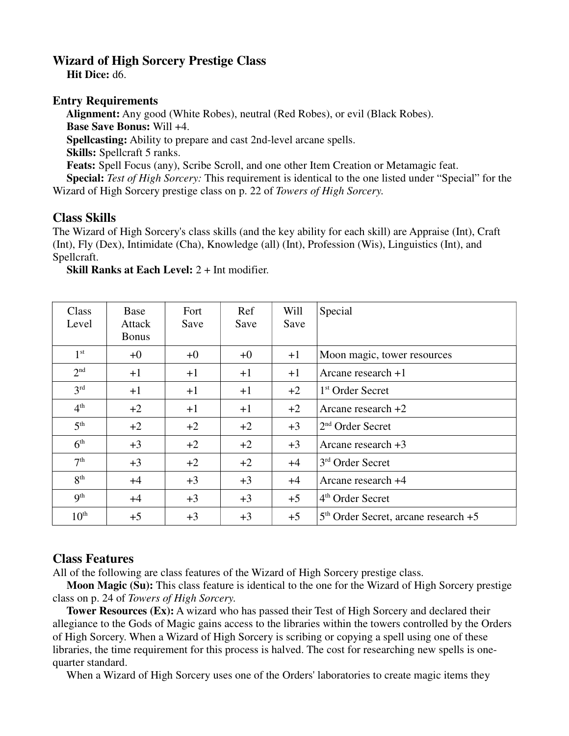## **Wizard of High Sorcery Prestige Class**

 **Hit Dice:** d6.

## **Entry Requirements**

 **Alignment:** Any good (White Robes), neutral (Red Robes), or evil (Black Robes). **Base Save Bonus:** Will +4. **Spellcasting:** Ability to prepare and cast 2nd-level arcane spells. **Skills:** Spellcraft 5 ranks. **Feats:** Spell Focus (any), Scribe Scroll, and one other Item Creation or Metamagic feat. **Special:** *Test of High Sorcery:* This requirement is identical to the one listed under "Special" for the Wizard of High Sorcery prestige class on p. 22 of *Towers of High Sorcery*.

## **Class Skills**

The Wizard of High Sorcery's class skills (and the key ability for each skill) are Appraise (Int), Craft (Int), Fly (Dex), Intimidate (Cha), Knowledge (all) (Int), Profession (Wis), Linguistics (Int), and Spellcraft.

**Skill Ranks at Each Level:** 2 + Int modifier.

| Class<br>Level   | Base<br>Attack<br><b>Bonus</b> | Fort<br>Save | Ref<br>Save | Will<br>Save | Special                                  |
|------------------|--------------------------------|--------------|-------------|--------------|------------------------------------------|
| 1 <sup>st</sup>  | $+0$                           | $+0$         | $+0$        | $+1$         | Moon magic, tower resources              |
| 2 <sup>nd</sup>  | $+1$                           | $+1$         | $+1$        | $+1$         | Arcane research $+1$                     |
| 3 <sup>rd</sup>  | $+1$                           | $+1$         | $+1$        | $+2$         | 1 <sup>st</sup> Order Secret             |
| 4 <sup>th</sup>  | $+2$                           | $+1$         | $+1$        | $+2$         | Arcane research $+2$                     |
| 5 <sup>th</sup>  | $+2$                           | $+2$         | $+2$        | $+3$         | $2nd$ Order Secret                       |
| 6 <sup>th</sup>  | $+3$                           | $+2$         | $+2$        | $+3$         | Arcane research $+3$                     |
| 7 <sup>th</sup>  | $+3$                           | $+2$         | $+2$        | $+4$         | 3 <sup>rd</sup> Order Secret             |
| 8 <sup>th</sup>  | $+4$                           | $+3$         | $+3$        | $+4$         | Arcane research +4                       |
| 9 <sup>th</sup>  | $+4$                           | $+3$         | $+3$        | $+5$         | 4 <sup>th</sup> Order Secret             |
| $10^{\text{th}}$ | $+5$                           | $+3$         | $+3$        | $+5$         | $5th$ Order Secret, arcane research $+5$ |

## **Class Features**

All of the following are class features of the Wizard of High Sorcery prestige class.

 **Moon Magic (Su):** This class feature is identical to the one for the Wizard of High Sorcery prestige class on p. 24 of *Towers of High Sorcery*.

 **Tower Resources (Ex):** A wizard who has passed their Test of High Sorcery and declared their allegiance to the Gods of Magic gains access to the libraries within the towers controlled by the Orders of High Sorcery. When a Wizard of High Sorcery is scribing or copying a spell using one of these libraries, the time requirement for this process is halved. The cost for researching new spells is onequarter standard.

When a Wizard of High Sorcery uses one of the Orders' laboratories to create magic items they